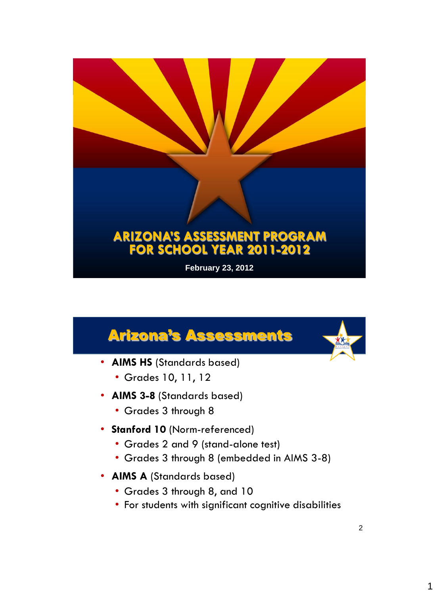# **ARIZONA'S ASSESSMENT PROGRAM FOR SCHOOL YEAR 2011-2012**

**February 23, 2012**

## Arizona's Assessments

- **AIMS HS** (Standards based)
	- Grades 10, 11, 12
- **AIMS 3-8** (Standards based)
	- Grades 3 through 8
- **Stanford 10** (Norm-referenced)
	- Grades 2 and 9 (stand-alone test)
	- Grades 3 through 8 (embedded in AIMS 3-8)
- **AIMS A** (Standards based)
	- Grades 3 through 8, and 10
	- For students with significant cognitive disabilities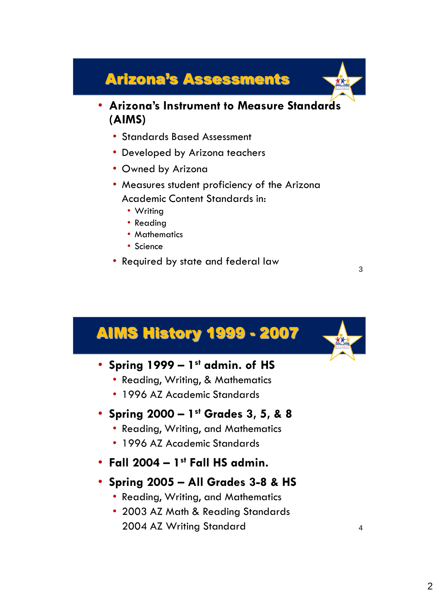### Arizona's Assessments

- **Arizona's Instrument to Measure Standards (AIMS)** 
	- Standards Based Assessment
	- Developed by Arizona teachers
	- Owned by Arizona
	- Measures student proficiency of the Arizona Academic Content Standards in:
		- Writing
		- Reading
		- Mathematics
		- Science
	- Required by state and federal law

### AIMS History 1999 - 2007

- **Spring 1999 – 1 st admin. of HS**
	- Reading, Writing, & Mathematics
	- 1996 AZ Academic Standards

#### • **Spring 2000 – 1 st Grades 3, 5, & 8**

- Reading, Writing, and Mathematics
- 1996 AZ Academic Standards
- **Fall 2004 – 1 st Fall HS admin.**
- **Spring 2005 – All Grades 3-8 & HS**
	- Reading, Writing, and Mathematics
	- 2003 AZ Math & Reading Standards 2004 AZ Writing Standard 4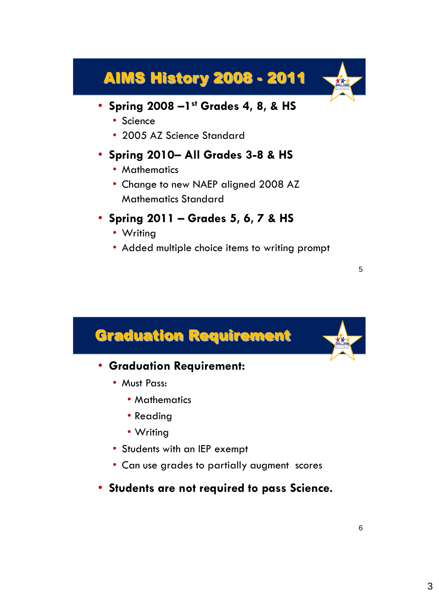## AIMS History 2008 - 2011

- **Spring 2008 –1 st Grades 4, 8, & HS**
	- Science
	- 2005 AZ Science Standard

#### • **Spring 2010– All Grades 3-8 & HS**

- Mathematics
- Change to new NAEP aligned 2008 AZ Mathematics Standard
- **Spring 2011 – Grades 5, 6, 7 & HS**
	- Writing
	- Added multiple choice items to writing prompt

## Graduation Requirement • **Graduation Requirement:** • Must Pass: • Mathematics • Reading • Writing • Students with an IEP exempt • Can use grades to partially augment scores • **Students are not required to pass Science.**

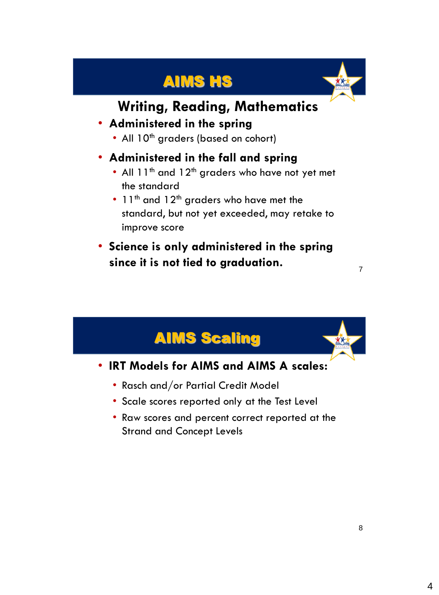## AIMS HS



### **Writing, Reading, Mathematics**

#### • **Administered in the spring**

• All 10<sup>th</sup> graders (based on cohort)

#### • **Administered in the fall and spring**

- All  $11^{th}$  and  $12^{th}$  graders who have not yet met the standard
- 11<sup>th</sup> and 12<sup>th</sup> graders who have met the standard, but not yet exceeded, may retake to improve score
- **Science is only administered in the spring since it is not tied to graduation.**

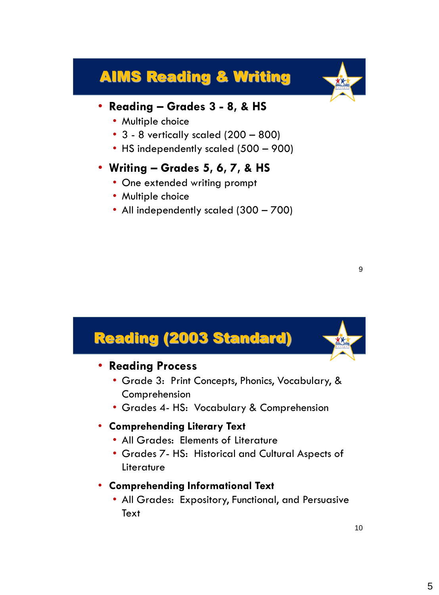### AIMS Reading & Writing



#### • **Reading – Grades 3 - 8, & HS**

- Multiple choice
- 3 8 vertically scaled (200 800)
- HS independently scaled (500 900)

#### • **Writing – Grades 5, 6, 7, & HS**

- One extended writing prompt
- Multiple choice
- All independently scaled (300 700)

### Reading (2003 Standard) • **Reading Process** • Grade 3: Print Concepts, Phonics, Vocabulary, & Comprehension • Grades 4- HS: Vocabulary & Comprehension • **Comprehending Literary Text** • All Grades: Elements of Literature • Grades 7- HS: Historical and Cultural Aspects of Literature • **Comprehending Informational Text** • All Grades: Expository, Functional, and Persuasive **Text**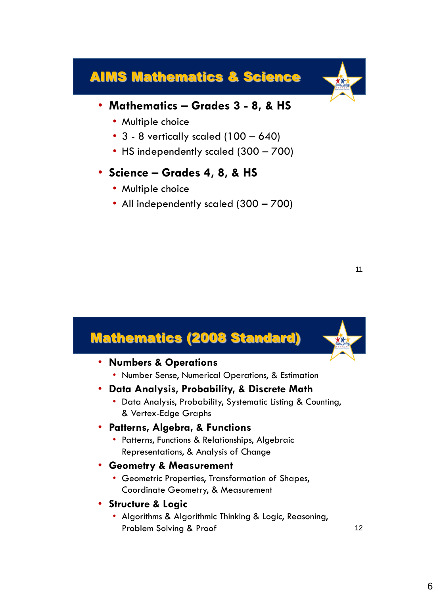### AIMS Mathematics & Science



- Multiple choice
- $3 8$  vertically scaled  $(100 640)$
- HS independently scaled (300 700)
- **Science – Grades 4, 8, & HS**
	- Multiple choice
	- All independently scaled (300 700)

#### Mathematics (2008 Standard) • **Numbers & Operations** • Number Sense, Numerical Operations, & Estimation • **Data Analysis, Probability, & Discrete Math** • Data Analysis, Probability, Systematic Listing & Counting, & Vertex-Edge Graphs • **Patterns, Algebra, & Functions** • Patterns, Functions & Relationships, Algebraic Representations, & Analysis of Change • **Geometry & Measurement** • Geometric Properties, Transformation of Shapes, Coordinate Geometry, & Measurement • **Structure & Logic** • Algorithms & Algorithmic Thinking & Logic, Reasoning, Problem Solving & Proof 12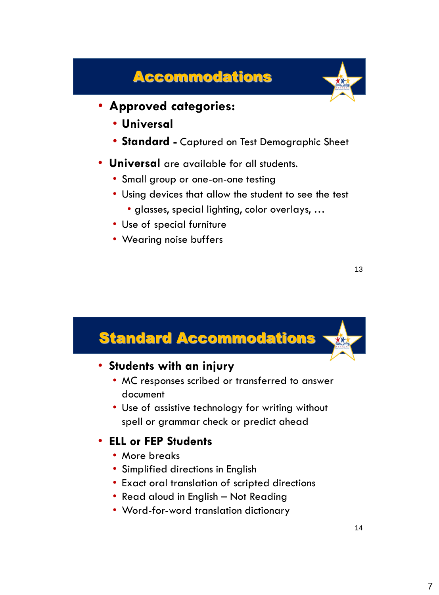### Accommodations



- **Approved categories:**
	- **Universal**
	- **Standard -** Captured on Test Demographic Sheet
- **Universal** are available for all students.
	- Small group or one-on-one testing
	- Using devices that allow the student to see the test
		- glasses, special lighting, color overlays, …
	- Use of special furniture
	- Wearing noise buffers

### Standard Accommodations • **Students with an injury** • MC responses scribed or transferred to answer document • Use of assistive technology for writing without spell or grammar check or predict ahead • **ELL or FEP Students** • More breaks • Simplified directions in English • Exact oral translation of scripted directions • Read aloud in English – Not Reading • Word-for-word translation dictionary 14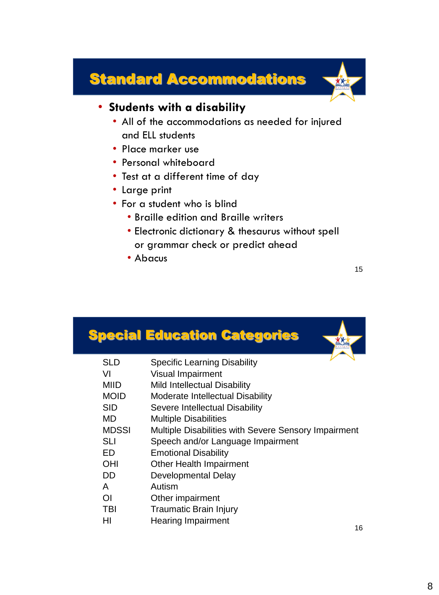### Standard Accommodations



#### • **Students with a disability**

- All of the accommodations as needed for injured and ELL students
- Place marker use
- Personal whiteboard
- Test at a different time of day
- Large print
- For a student who is blind
	- Braille edition and Braille writers
	- Electronic dictionary & thesaurus without spell or grammar check or predict ahead
	- Abacus

### Special Education Categories

- VI Visual Impairment
- MIID Mild Intellectual Disability
- MOID Moderate Intellectual Disability
- SID Severe Intellectual Disability
- MD Multiple Disabilities
- MDSSI Multiple Disabilities with Severe Sensory Impairment
- SLI Speech and/or Language Impairment
- ED Emotional Disability
- OHI Other Health Impairment
- DD Developmental Delay
- A Autism
- OI Other impairment
- TBI Traumatic Brain Injury
- HI Hearing Impairment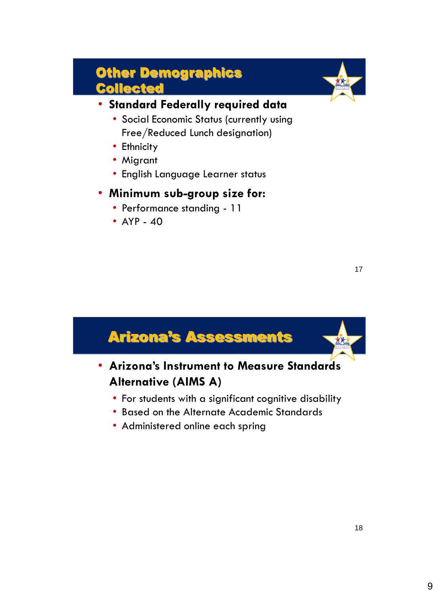### Other Demographics Collected



17

#### • **Standard Federally required data**

- Social Economic Status (currently using Free/Reduced Lunch designation)
- Ethnicity
- Migrant
- English Language Learner status

#### • **Minimum sub-group size for:**

- Performance standing 11
- $AP 40$

| <b>Arizona's Assessments</b>                                                                                                               |
|--------------------------------------------------------------------------------------------------------------------------------------------|
| • Arizona's Instrument to Measure Standards<br><b>Alternative (AIMS A)</b>                                                                 |
| • For students with a significant cognitive disability<br>• Based on the Alternate Academic Standards<br>• Administered online each spring |
|                                                                                                                                            |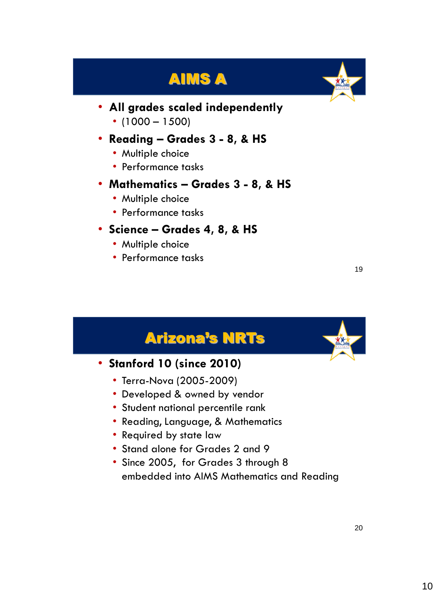## AIMS A



- **All grades scaled independently**
	- $\cdot$  (1000 1500)
- **Reading – Grades 3 - 8, & HS**
	- Multiple choice
	- Performance tasks
- **Mathematics – Grades 3 - 8, & HS**
	- Multiple choice
	- Performance tasks
- **Science – Grades 4, 8, & HS**
	- Multiple choice
	- Performance tasks

## Arizona's NRTs • **Stanford 10 (since 2010)** • Terra-Nova (2005-2009) • Developed & owned by vendor • Student national percentile rank • Reading, Language, & Mathematics • Required by state law • Stand alone for Grades 2 and 9 • Since 2005, for Grades 3 through 8 embedded into AIMS Mathematics and Reading